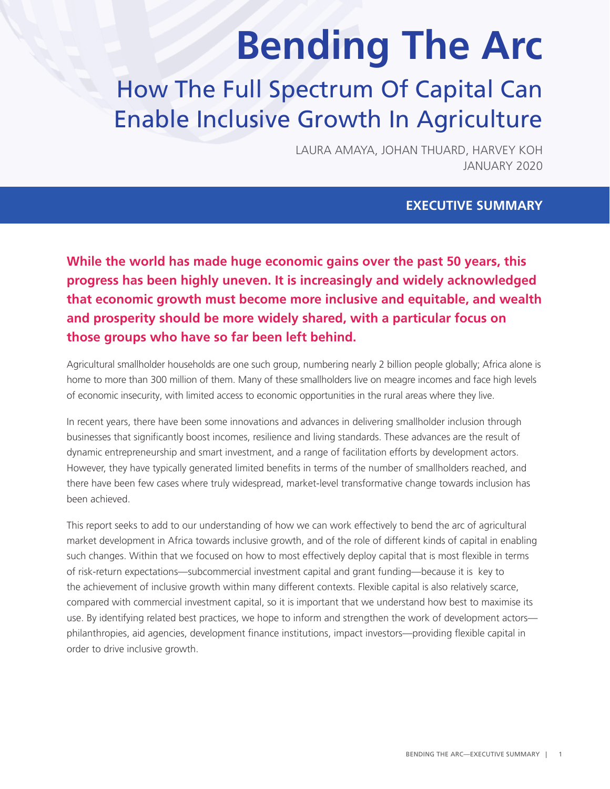# **Bending The Arc**

# How The Full Spectrum Of Capital Can Enable Inclusive Growth In Agriculture

LAURA AMAYA, JOHAN THUARD, HARVEY KOH JANUARY 2020

#### **EXECUTIVE SUMMARY**

**While the world has made huge economic gains over the past 50 years, this progress has been highly uneven. It is increasingly and widely acknowledged that economic growth must become more inclusive and equitable, and wealth and prosperity should be more widely shared, with a particular focus on those groups who have so far been left behind.** 

Agricultural smallholder households are one such group, numbering nearly 2 billion people globally; Africa alone is home to more than 300 million of them. Many of these smallholders live on meagre incomes and face high levels of economic insecurity, with limited access to economic opportunities in the rural areas where they live.

In recent years, there have been some innovations and advances in delivering smallholder inclusion through businesses that significantly boost incomes, resilience and living standards. These advances are the result of dynamic entrepreneurship and smart investment, and a range of facilitation efforts by development actors. However, they have typically generated limited benefits in terms of the number of smallholders reached, and there have been few cases where truly widespread, market-level transformative change towards inclusion has been achieved.

This report seeks to add to our understanding of how we can work effectively to bend the arc of agricultural market development in Africa towards inclusive growth, and of the role of different kinds of capital in enabling such changes. Within that we focused on how to most effectively deploy capital that is most flexible in terms of risk-return expectations—subcommercial investment capital and grant funding—because it is key to the achievement of inclusive growth within many different contexts. Flexible capital is also relatively scarce, compared with commercial investment capital, so it is important that we understand how best to maximise its use. By identifying related best practices, we hope to inform and strengthen the work of development actors philanthropies, aid agencies, development finance institutions, impact investors—providing flexible capital in order to drive inclusive growth.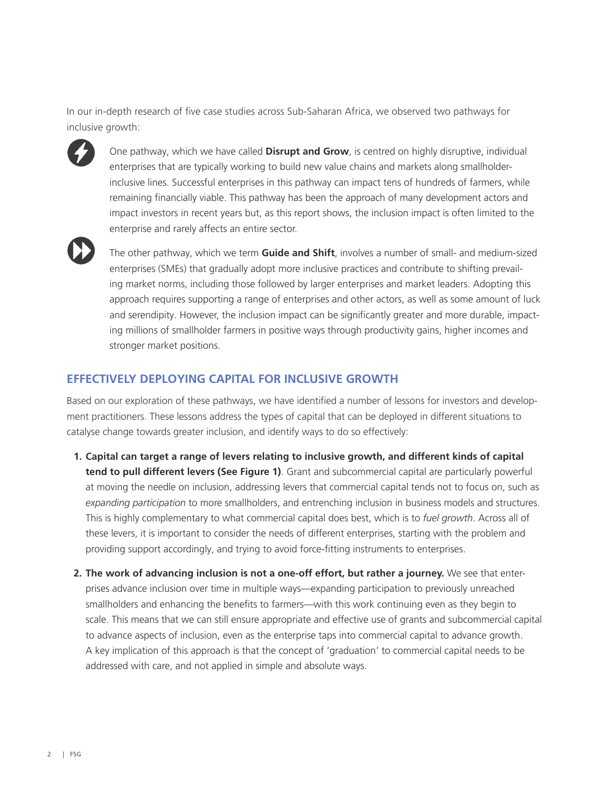In our in-depth research of five case studies across Sub-Saharan Africa, we observed two pathways for inclusive growth:



One pathway, which we have called **Disrupt and Grow**, is centred on highly disruptive, individual enterprises that are typically working to build new value chains and markets along smallholderinclusive lines. Successful enterprises in this pathway can impact tens of hundreds of farmers, while remaining financially viable. This pathway has been the approach of many development actors and impact investors in recent years but, as this report shows, the inclusion impact is often limited to the enterprise and rarely affects an entire sector.



The other pathway, which we term **Guide and Shift**, involves a number of small- and medium-sized enterprises (SMEs) that gradually adopt more inclusive practices and contribute to shifting prevailing market norms, including those followed by larger enterprises and market leaders. Adopting this approach requires supporting a range of enterprises and other actors, as well as some amount of luck and serendipity. However, the inclusion impact can be significantly greater and more durable, impacting millions of smallholder farmers in positive ways through productivity gains, higher incomes and stronger market positions.

#### **EFFECTIVELY DEPLOYING CAPITAL FOR INCLUSIVE GROWTH**

Based on our exploration of these pathways, we have identified a number of lessons for investors and development practitioners. These lessons address the types of capital that can be deployed in different situations to catalyse change towards greater inclusion, and identify ways to do so effectively:

- **1. Capital can target a range of levers relating to inclusive growth, and different kinds of capital tend to pull different levers (See Figure 1)**. Grant and subcommercial capital are particularly powerful at moving the needle on inclusion, addressing levers that commercial capital tends not to focus on, such as *expanding participation* to more smallholders, and entrenching inclusion in business models and structures. This is highly complementary to what commercial capital does best, which is to *fuel growth*. Across all of these levers, it is important to consider the needs of different enterprises, starting with the problem and providing support accordingly, and trying to avoid force-fitting instruments to enterprises.
- **2. The work of advancing inclusion is not a one-off effort, but rather a journey.** We see that enterprises advance inclusion over time in multiple ways—expanding participation to previously unreached smallholders and enhancing the benefits to farmers—with this work continuing even as they begin to scale. This means that we can still ensure appropriate and effective use of grants and subcommercial capital to advance aspects of inclusion, even as the enterprise taps into commercial capital to advance growth. A key implication of this approach is that the concept of 'graduation' to commercial capital needs to be addressed with care, and not applied in simple and absolute ways.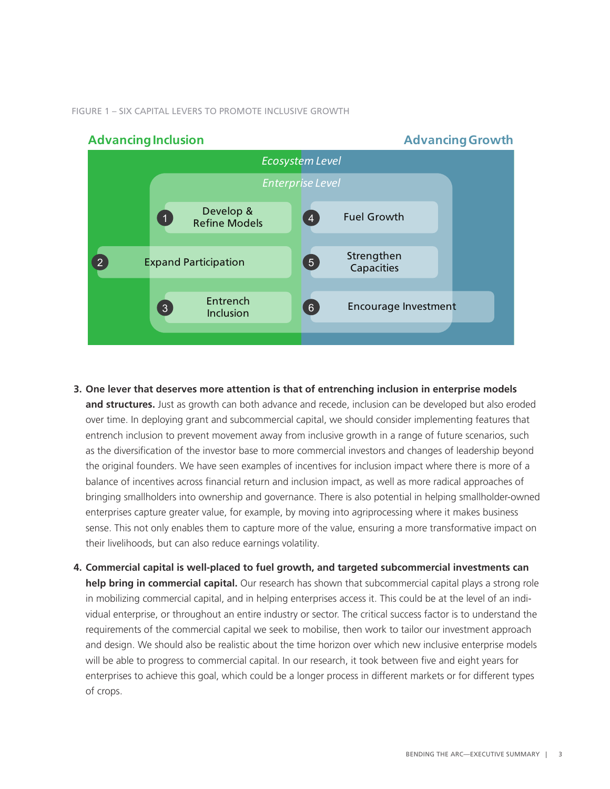FIGURE 1 – SIX CAPITAL LEVERS TO PROMOTE INCLUSIVE GROWTH



- **3. One lever that deserves more attention is that of entrenching inclusion in enterprise models and structures.** Just as growth can both advance and recede, inclusion can be developed but also eroded over time. In deploying grant and subcommercial capital, we should consider implementing features that entrench inclusion to prevent movement away from inclusive growth in a range of future scenarios, such as the diversification of the investor base to more commercial investors and changes of leadership beyond the original founders. We have seen examples of incentives for inclusion impact where there is more of a balance of incentives across financial return and inclusion impact, as well as more radical approaches of bringing smallholders into ownership and governance. There is also potential in helping smallholder-owned enterprises capture greater value, for example, by moving into agriprocessing where it makes business sense. This not only enables them to capture more of the value, ensuring a more transformative impact on their livelihoods, but can also reduce earnings volatility.
- **4. Commercial capital is well-placed to fuel growth, and targeted subcommercial investments can help bring in commercial capital.** Our research has shown that subcommercial capital plays a strong role in mobilizing commercial capital, and in helping enterprises access it. This could be at the level of an individual enterprise, or throughout an entire industry or sector. The critical success factor is to understand the requirements of the commercial capital we seek to mobilise, then work to tailor our investment approach and design. We should also be realistic about the time horizon over which new inclusive enterprise models will be able to progress to commercial capital. In our research, it took between five and eight years for enterprises to achieve this goal, which could be a longer process in different markets or for different types of crops.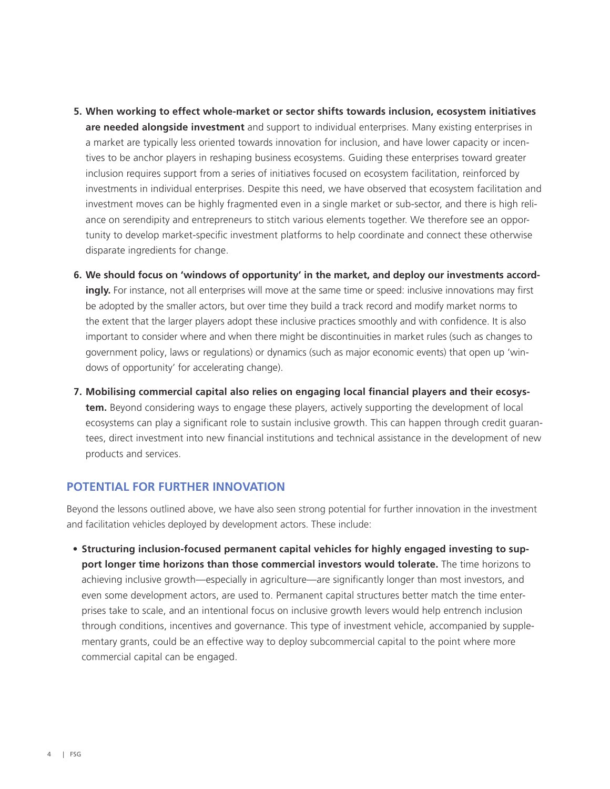- **5. When working to effect whole-market or sector shifts towards inclusion, ecosystem initiatives are needed alongside investment** and support to individual enterprises. Many existing enterprises in a market are typically less oriented towards innovation for inclusion, and have lower capacity or incentives to be anchor players in reshaping business ecosystems. Guiding these enterprises toward greater inclusion requires support from a series of initiatives focused on ecosystem facilitation, reinforced by investments in individual enterprises. Despite this need, we have observed that ecosystem facilitation and investment moves can be highly fragmented even in a single market or sub-sector, and there is high reliance on serendipity and entrepreneurs to stitch various elements together. We therefore see an opportunity to develop market-specific investment platforms to help coordinate and connect these otherwise disparate ingredients for change.
- **6. We should focus on 'windows of opportunity' in the market, and deploy our investments accordingly.** For instance, not all enterprises will move at the same time or speed: inclusive innovations may first be adopted by the smaller actors, but over time they build a track record and modify market norms to the extent that the larger players adopt these inclusive practices smoothly and with confidence. It is also important to consider where and when there might be discontinuities in market rules (such as changes to government policy, laws or regulations) or dynamics (such as major economic events) that open up 'windows of opportunity' for accelerating change).
- **7. Mobilising commercial capital also relies on engaging local financial players and their ecosystem.** Beyond considering ways to engage these players, actively supporting the development of local ecosystems can play a significant role to sustain inclusive growth. This can happen through credit guarantees, direct investment into new financial institutions and technical assistance in the development of new products and services.

#### **POTENTIAL FOR FURTHER INNOVATION**

Beyond the lessons outlined above, we have also seen strong potential for further innovation in the investment and facilitation vehicles deployed by development actors. These include:

**• Structuring inclusion-focused permanent capital vehicles for highly engaged investing to support longer time horizons than those commercial investors would tolerate.** The time horizons to achieving inclusive growth—especially in agriculture—are significantly longer than most investors, and even some development actors, are used to. Permanent capital structures better match the time enterprises take to scale, and an intentional focus on inclusive growth levers would help entrench inclusion through conditions, incentives and governance. This type of investment vehicle, accompanied by supplementary grants, could be an effective way to deploy subcommercial capital to the point where more commercial capital can be engaged.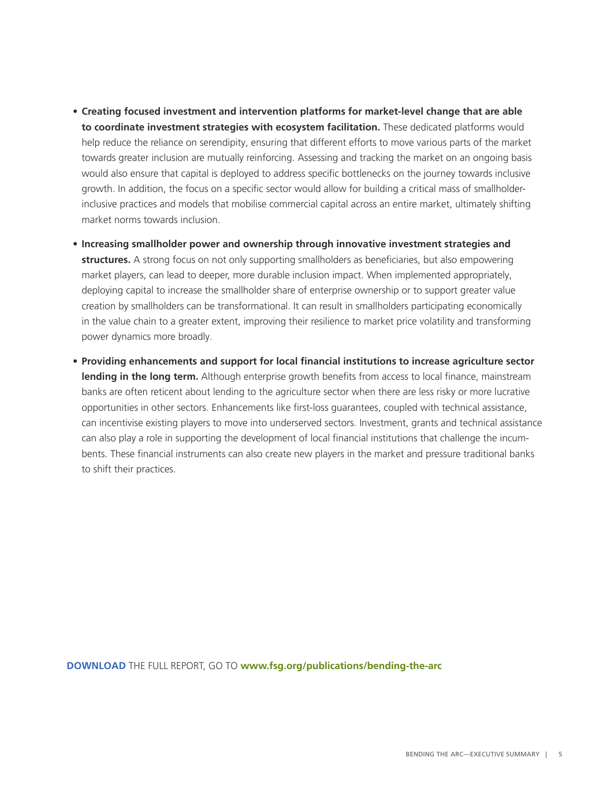- **• Creating focused investment and intervention platforms for market-level change that are able to coordinate investment strategies with ecosystem facilitation.** These dedicated platforms would help reduce the reliance on serendipity, ensuring that different efforts to move various parts of the market towards greater inclusion are mutually reinforcing. Assessing and tracking the market on an ongoing basis would also ensure that capital is deployed to address specific bottlenecks on the journey towards inclusive growth. In addition, the focus on a specific sector would allow for building a critical mass of smallholderinclusive practices and models that mobilise commercial capital across an entire market, ultimately shifting market norms towards inclusion.
- **• Increasing smallholder power and ownership through innovative investment strategies and structures.** A strong focus on not only supporting smallholders as beneficiaries, but also empowering market players, can lead to deeper, more durable inclusion impact. When implemented appropriately, deploying capital to increase the smallholder share of enterprise ownership or to support greater value creation by smallholders can be transformational. It can result in smallholders participating economically in the value chain to a greater extent, improving their resilience to market price volatility and transforming power dynamics more broadly.
- **• Providing enhancements and support for local financial institutions to increase agriculture sector lending in the long term.** Although enterprise growth benefits from access to local finance, mainstream banks are often reticent about lending to the agriculture sector when there are less risky or more lucrative opportunities in other sectors. Enhancements like first-loss guarantees, coupled with technical assistance, can incentivise existing players to move into underserved sectors. Investment, grants and technical assistance can also play a role in supporting the development of local financial institutions that challenge the incumbents. These financial instruments can also create new players in the market and pressure traditional banks to shift their practices.

**DOWNLOAD** THE FULL REPORT, GO TO **[www.fsg.org/publications/bending-the-arc](http://www.fsg.org/publications/bending-the-arc)**